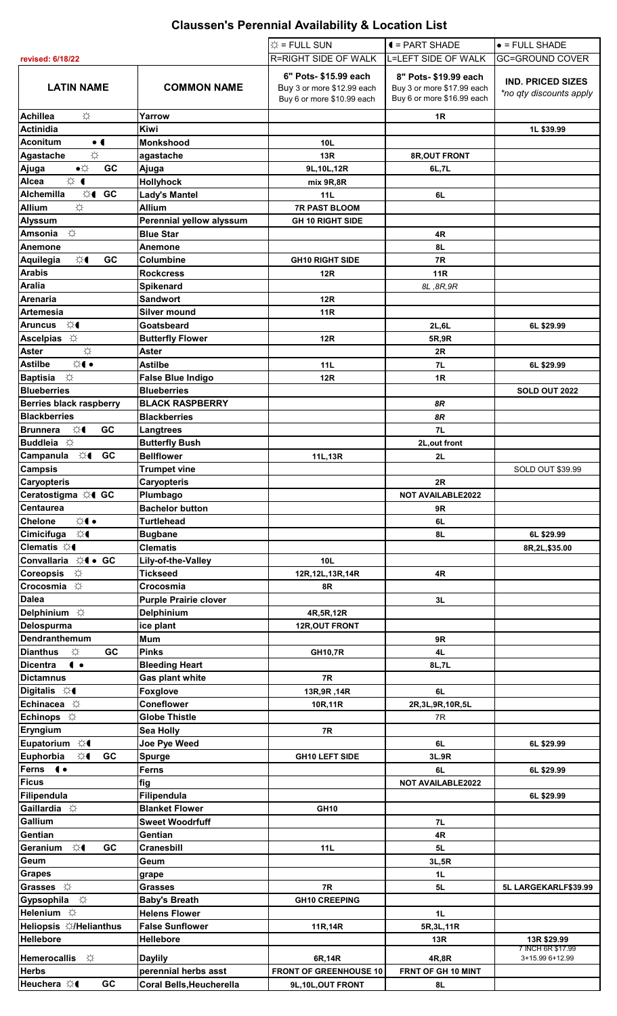## **Claussen's Perennial Availability & Location List**

|                                                         |                                                | $\hat{x}$ = FULL SUN                                                              | $\blacktriangleleft$ = PART SHADE                                                | $\bullet$ = FULL SHADE                              |
|---------------------------------------------------------|------------------------------------------------|-----------------------------------------------------------------------------------|----------------------------------------------------------------------------------|-----------------------------------------------------|
| revised: 6/18/22                                        |                                                | R=RIGHT SIDE OF WALK                                                              | L=LEFT SIDE OF WALK                                                              | <b>GC=GROUND COVER</b>                              |
| <b>LATIN NAME</b>                                       | <b>COMMON NAME</b>                             | 6" Pots- \$15.99 each<br>Buy 3 or more \$12.99 each<br>Buy 6 or more \$10.99 each | 8" Pots-\$19.99 each<br>Buy 3 or more \$17.99 each<br>Buy 6 or more \$16.99 each | <b>IND. PRICED SIZES</b><br>*no qty discounts apply |
| <b>Achillea</b><br>☆                                    | Yarrow                                         |                                                                                   | 1 <sub>R</sub>                                                                   |                                                     |
| Actinidia<br>$\bullet$ (                                | <b>Kiwi</b><br><b>Monkshood</b>                |                                                                                   |                                                                                  | 1L \$39.99                                          |
| <b>Aconitum</b><br>☆<br><b>Agastache</b>                | agastache                                      | 10L<br>13R                                                                        | 8R, OUT FRONT                                                                    |                                                     |
| $\bullet\uparrow$<br>GC<br>Ajuga                        | Ajuga                                          | 9L, 10L, 12R                                                                      | 6L,7L                                                                            |                                                     |
| ☆ ●<br>Alcea                                            | <b>Hollyhock</b>                               | mix 9R,8R                                                                         |                                                                                  |                                                     |
| <b>Alchemilla</b><br>☆( GC                              | <b>Lady's Mantel</b>                           | 11L                                                                               | 6L                                                                               |                                                     |
| ☆<br><b>Allium</b>                                      | <b>Allium</b>                                  | <b>7R PAST BLOOM</b>                                                              |                                                                                  |                                                     |
| <b>Alyssum</b>                                          | Perennial yellow alyssum                       | <b>GH 10 RIGHT SIDE</b>                                                           |                                                                                  |                                                     |
| ☆<br>Amsonia                                            | <b>Blue Star</b>                               |                                                                                   | 4R                                                                               |                                                     |
| Anemone<br>GC<br>☆€<br>Aquilegia                        | Anemone<br>Columbine                           | <b>GH10 RIGHT SIDE</b>                                                            | 8L<br>7R                                                                         |                                                     |
| <b>Arabis</b>                                           | <b>Rockcress</b>                               | <b>12R</b>                                                                        | <b>11R</b>                                                                       |                                                     |
| <b>Aralia</b>                                           | <b>Spikenard</b>                               |                                                                                   | 8L, 8R, 9R                                                                       |                                                     |
| Arenaria                                                | Sandwort                                       | 12R                                                                               |                                                                                  |                                                     |
| <b>Artemesia</b>                                        | <b>Silver mound</b>                            | <b>11R</b>                                                                        |                                                                                  |                                                     |
| Aruncus ☆(                                              | Goatsbeard                                     |                                                                                   | 2L,6L                                                                            | 6L \$29.99                                          |
| Ascelpias $\breve{\varphi}$                             | <b>Butterfly Flower</b>                        | 12R                                                                               | 5R,9R                                                                            |                                                     |
| ☆<br><b>Aster</b><br>☆●<br><b>Astilbe</b>               | <b>Aster</b><br><b>Astilbe</b>                 | 11L                                                                               | 2R<br>7L                                                                         | 6L \$29.99                                          |
| Baptisia $\breve{\varphi}$                              | <b>False Blue Indigo</b>                       | <b>12R</b>                                                                        | 1R                                                                               |                                                     |
| <b>Blueberries</b>                                      | <b>Blueberries</b>                             |                                                                                   |                                                                                  | SOLD OUT 2022                                       |
| <b>Berries black raspberry</b>                          | <b>BLACK RASPBERRY</b>                         |                                                                                   | 8R                                                                               |                                                     |
| <b>Blackberries</b>                                     | Blackberries                                   |                                                                                   | 8R                                                                               |                                                     |
| ☆<br><b>Brunnera</b><br>GC                              | Langtrees                                      |                                                                                   | 7L                                                                               |                                                     |
| Buddleia $\hat{\varphi}$<br>☆€<br>GC<br>Campanula       | <b>Butterfly Bush</b><br><b>Bellflower</b>     | 11L,13R                                                                           | 2L, out front<br>2L                                                              |                                                     |
| <b>Campsis</b>                                          | <b>Trumpet vine</b>                            |                                                                                   |                                                                                  | <b>SOLD OUT \$39.99</b>                             |
| <b>Caryopteris</b>                                      | <b>Caryopteris</b>                             |                                                                                   | 2R                                                                               |                                                     |
| Ceratostigma ☆4 GC                                      | Plumbago                                       |                                                                                   | <b>NOT AVAILABLE2022</b>                                                         |                                                     |
| <b>Centaurea</b>                                        | <b>Bachelor button</b>                         |                                                                                   | 9R                                                                               |                                                     |
| <b>☆←</b><br>Chelone                                    | <b>Turtlehead</b>                              |                                                                                   | 6L                                                                               |                                                     |
| Cimicifuga ☆(<br>Clematis ☆(                            | <b>Bugbane</b><br><b>Clematis</b>              |                                                                                   | 8L                                                                               | 6L \$29.99                                          |
| Convallaria $\Im \mathbf{G}$ . GC                       | Lily-of-the-Valley                             | 10L                                                                               |                                                                                  | 8R, 2L, \$35.00                                     |
| Coreopsis $\forall$                                     | <b>Tickseed</b>                                | 12R, 12L, 13R, 14R                                                                | 4R                                                                               |                                                     |
| Crocosmia $\mathbb{X}$                                  | Crocosmia                                      | 8R                                                                                |                                                                                  |                                                     |
| <b>Dalea</b>                                            | <b>Purple Prairie clover</b>                   |                                                                                   | 3L                                                                               |                                                     |
| Delphinium $\Im$                                        | <b>Delphinium</b>                              | 4R, 5R, 12R                                                                       |                                                                                  |                                                     |
| Delospurma<br>Dendranthemum                             | ice plant                                      | <b>12R, OUT FRONT</b>                                                             |                                                                                  |                                                     |
| GC<br><b>Dianthus</b><br>☆                              | Mum<br><b>Pinks</b>                            | <b>GH10,7R</b>                                                                    | 9R<br>4L                                                                         |                                                     |
| <b>Dicentra</b><br>$\bullet$                            | <b>Bleeding Heart</b>                          |                                                                                   | 8L,7L                                                                            |                                                     |
| <b>Dictamnus</b>                                        | Gas plant white                                | 7R                                                                                |                                                                                  |                                                     |
| Digitalis $\Im$                                         | <b>Foxglove</b>                                | 13R, 9R, 14R                                                                      | 6L                                                                               |                                                     |
| Echinacea $\hat{\varphi}$                               | <b>Coneflower</b>                              | 10R,11R                                                                           | 2R, 3L, 9R, 10R, 5L                                                              |                                                     |
| Echinops $\breve{\varphi}$                              | <b>Globe Thistle</b>                           |                                                                                   | 7R                                                                               |                                                     |
| Eryngium<br>Eupatorium $\varphi$                        | Sea Holly<br>Joe Pye Weed                      | 7R                                                                                | 6L                                                                               | 6L \$29.99                                          |
| Euphorbia<br>☆<br>GC                                    | Spurge                                         | <b>GH10 LEFT SIDE</b>                                                             | 3L.9R                                                                            |                                                     |
| Ferns ( •                                               | Ferns                                          |                                                                                   | 6L                                                                               | 6L \$29.99                                          |
| <b>Ficus</b>                                            | fig                                            |                                                                                   | <b>NOT AVAILABLE2022</b>                                                         |                                                     |
| Filipendula                                             | Filipendula                                    |                                                                                   |                                                                                  | 6L \$29.99                                          |
| Gaillardia $\hat{\varphi}$<br>Gallium                   | <b>Blanket Flower</b>                          | <b>GH10</b>                                                                       |                                                                                  |                                                     |
| Gentian                                                 | <b>Sweet Woodrfuff</b><br><b>Gentian</b>       |                                                                                   | 7L<br>4R                                                                         |                                                     |
| Geranium $\Im$<br>GC                                    | <b>Cranesbill</b>                              | 11L                                                                               | 5L                                                                               |                                                     |
| Geum                                                    | Geum                                           |                                                                                   | 3L,5R                                                                            |                                                     |
| <b>Grapes</b>                                           | grape                                          |                                                                                   | 1L                                                                               |                                                     |
| Grasses $\Diamond$                                      | <b>Grasses</b>                                 | 7R                                                                                | 5L                                                                               | 5L LARGEKARLF\$39.99                                |
| Gypsophila $\Diamond$                                   | <b>Baby's Breath</b>                           | <b>GH10 CREEPING</b>                                                              |                                                                                  |                                                     |
| Helenium $\breve{\mathbb{Z}}$<br>Heliopsis ※/Helianthus | <b>Helens Flower</b><br><b>False Sunflower</b> |                                                                                   | 1L                                                                               |                                                     |
| <b>Hellebore</b>                                        | Hellebore                                      | 11R,14R                                                                           | 5R, 3L, 11R<br>13R                                                               | 13R \$29.99                                         |
|                                                         |                                                |                                                                                   |                                                                                  | 7 INCH 6R \$17.99                                   |
| <b>Hemerocallis</b><br>☆<br><b>Herbs</b>                | <b>Daylily</b><br>perennial herbs asst         | 6R,14R<br><b>FRONT OF GREENHOUSE 10</b>                                           | 4R,8R<br>FRNT OF GH 10 MINT                                                      | 3+15.99 6+12.99                                     |
| GC<br>Heuchera ☆€                                       | Coral Bells, Heucherella                       | 9L,10L,OUT FRONT                                                                  | 8L                                                                               |                                                     |
|                                                         |                                                |                                                                                   |                                                                                  |                                                     |